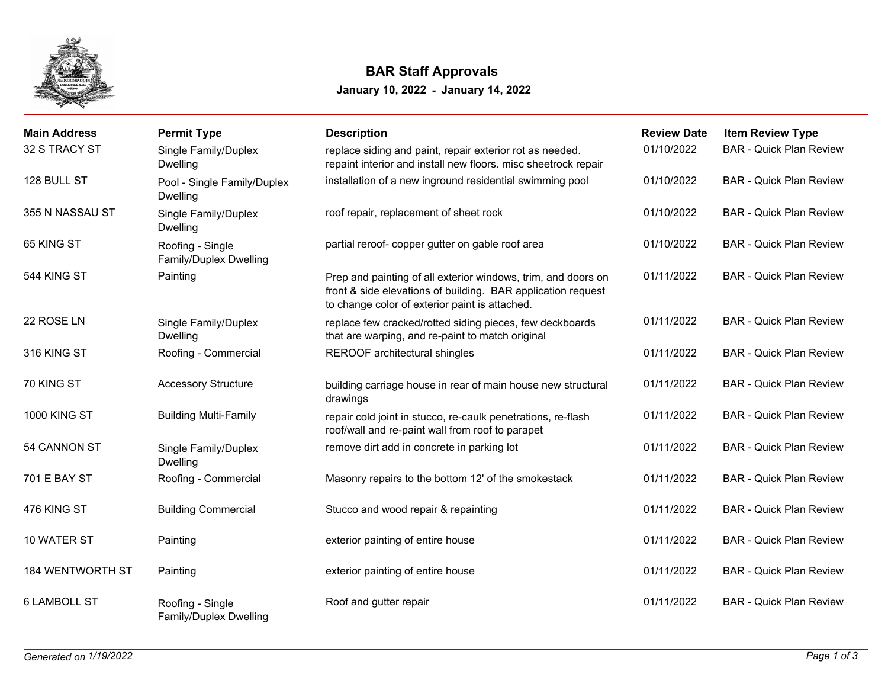

## **BAR Staff Approvals**

**January 10, 2022 - January 14, 2022**

| <b>Main Address</b>     | <b>Permit Type</b>                             | <b>Description</b>                                                                                                                                                              | <b>Review Date</b> | <b>Item Review Type</b>        |
|-------------------------|------------------------------------------------|---------------------------------------------------------------------------------------------------------------------------------------------------------------------------------|--------------------|--------------------------------|
| 32 S TRACY ST           | Single Family/Duplex<br>Dwelling               | replace siding and paint, repair exterior rot as needed.<br>repaint interior and install new floors. misc sheetrock repair                                                      | 01/10/2022         | <b>BAR - Quick Plan Review</b> |
| 128 BULL ST             | Pool - Single Family/Duplex<br><b>Dwelling</b> | installation of a new inground residential swimming pool                                                                                                                        | 01/10/2022         | <b>BAR - Quick Plan Review</b> |
| 355 N NASSAU ST         | Single Family/Duplex<br><b>Dwelling</b>        | roof repair, replacement of sheet rock                                                                                                                                          | 01/10/2022         | <b>BAR - Quick Plan Review</b> |
| 65 KING ST              | Roofing - Single<br>Family/Duplex Dwelling     | partial reroof- copper gutter on gable roof area                                                                                                                                | 01/10/2022         | <b>BAR - Quick Plan Review</b> |
| 544 KING ST             | Painting                                       | Prep and painting of all exterior windows, trim, and doors on<br>front & side elevations of building. BAR application request<br>to change color of exterior paint is attached. | 01/11/2022         | <b>BAR - Quick Plan Review</b> |
| 22 ROSE LN              | Single Family/Duplex<br><b>Dwelling</b>        | replace few cracked/rotted siding pieces, few deckboards<br>that are warping, and re-paint to match original                                                                    | 01/11/2022         | <b>BAR - Quick Plan Review</b> |
| 316 KING ST             | Roofing - Commercial                           | REROOF architectural shingles                                                                                                                                                   | 01/11/2022         | <b>BAR - Quick Plan Review</b> |
| 70 KING ST              | <b>Accessory Structure</b>                     | building carriage house in rear of main house new structural<br>drawings                                                                                                        | 01/11/2022         | <b>BAR - Quick Plan Review</b> |
| <b>1000 KING ST</b>     | <b>Building Multi-Family</b>                   | repair cold joint in stucco, re-caulk penetrations, re-flash<br>roof/wall and re-paint wall from roof to parapet                                                                | 01/11/2022         | <b>BAR - Quick Plan Review</b> |
| 54 CANNON ST            | Single Family/Duplex<br><b>Dwelling</b>        | remove dirt add in concrete in parking lot                                                                                                                                      | 01/11/2022         | <b>BAR - Quick Plan Review</b> |
| 701 E BAY ST            | Roofing - Commercial                           | Masonry repairs to the bottom 12' of the smokestack                                                                                                                             | 01/11/2022         | <b>BAR - Quick Plan Review</b> |
| 476 KING ST             | <b>Building Commercial</b>                     | Stucco and wood repair & repainting                                                                                                                                             | 01/11/2022         | <b>BAR - Quick Plan Review</b> |
| 10 WATER ST             | Painting                                       | exterior painting of entire house                                                                                                                                               | 01/11/2022         | <b>BAR - Quick Plan Review</b> |
| <b>184 WENTWORTH ST</b> | Painting                                       | exterior painting of entire house                                                                                                                                               | 01/11/2022         | <b>BAR - Quick Plan Review</b> |
| <b>6 LAMBOLL ST</b>     | Roofing - Single<br>Family/Duplex Dwelling     | Roof and gutter repair                                                                                                                                                          | 01/11/2022         | <b>BAR - Quick Plan Review</b> |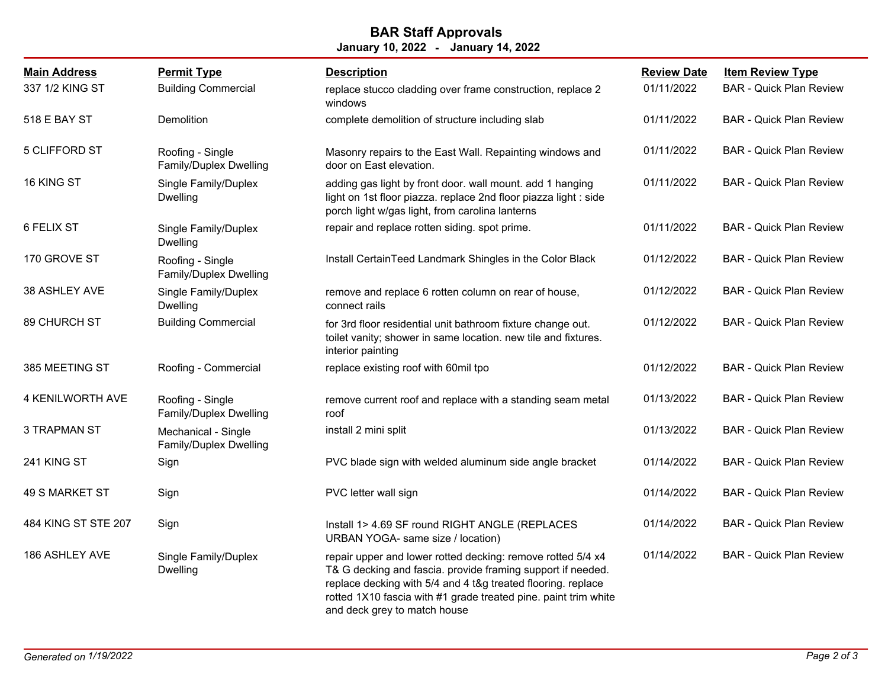## **January 10, 2022 - January 14, 2022 BAR Staff Approvals**

| <b>Main Address</b> | <b>Permit Type</b>                            | <b>Description</b>                                                                                                                                                                                                                                                                            | <b>Review Date</b> | <b>Item Review Type</b>        |
|---------------------|-----------------------------------------------|-----------------------------------------------------------------------------------------------------------------------------------------------------------------------------------------------------------------------------------------------------------------------------------------------|--------------------|--------------------------------|
| 337 1/2 KING ST     | <b>Building Commercial</b>                    | replace stucco cladding over frame construction, replace 2<br>windows                                                                                                                                                                                                                         | 01/11/2022         | <b>BAR - Quick Plan Review</b> |
| 518 E BAY ST        | Demolition                                    | complete demolition of structure including slab                                                                                                                                                                                                                                               | 01/11/2022         | <b>BAR - Quick Plan Review</b> |
| 5 CLIFFORD ST       | Roofing - Single<br>Family/Duplex Dwelling    | Masonry repairs to the East Wall. Repainting windows and<br>door on East elevation.                                                                                                                                                                                                           | 01/11/2022         | <b>BAR - Quick Plan Review</b> |
| 16 KING ST          | Single Family/Duplex<br><b>Dwelling</b>       | adding gas light by front door. wall mount. add 1 hanging<br>light on 1st floor piazza. replace 2nd floor piazza light : side<br>porch light w/gas light, from carolina lanterns                                                                                                              | 01/11/2022         | <b>BAR - Quick Plan Review</b> |
| 6 FELIX ST          | Single Family/Duplex<br>Dwelling              | repair and replace rotten siding. spot prime.                                                                                                                                                                                                                                                 | 01/11/2022         | <b>BAR - Quick Plan Review</b> |
| 170 GROVE ST        | Roofing - Single<br>Family/Duplex Dwelling    | Install CertainTeed Landmark Shingles in the Color Black                                                                                                                                                                                                                                      | 01/12/2022         | <b>BAR - Quick Plan Review</b> |
| 38 ASHLEY AVE       | Single Family/Duplex<br><b>Dwelling</b>       | remove and replace 6 rotten column on rear of house,<br>connect rails                                                                                                                                                                                                                         | 01/12/2022         | <b>BAR - Quick Plan Review</b> |
| 89 CHURCH ST        | <b>Building Commercial</b>                    | for 3rd floor residential unit bathroom fixture change out.<br>toilet vanity; shower in same location. new tile and fixtures.<br>interior painting                                                                                                                                            | 01/12/2022         | <b>BAR - Quick Plan Review</b> |
| 385 MEETING ST      | Roofing - Commercial                          | replace existing roof with 60mil tpo                                                                                                                                                                                                                                                          | 01/12/2022         | <b>BAR - Quick Plan Review</b> |
| 4 KENILWORTH AVE    | Roofing - Single<br>Family/Duplex Dwelling    | remove current roof and replace with a standing seam metal<br>roof                                                                                                                                                                                                                            | 01/13/2022         | <b>BAR - Quick Plan Review</b> |
| <b>3 TRAPMAN ST</b> | Mechanical - Single<br>Family/Duplex Dwelling | install 2 mini split                                                                                                                                                                                                                                                                          | 01/13/2022         | <b>BAR - Quick Plan Review</b> |
| 241 KING ST         | Sign                                          | PVC blade sign with welded aluminum side angle bracket                                                                                                                                                                                                                                        | 01/14/2022         | <b>BAR - Quick Plan Review</b> |
| 49 S MARKET ST      | Sign                                          | PVC letter wall sign                                                                                                                                                                                                                                                                          | 01/14/2022         | <b>BAR - Quick Plan Review</b> |
| 484 KING ST STE 207 | Sign                                          | Install 1> 4.69 SF round RIGHT ANGLE (REPLACES<br>URBAN YOGA- same size / location)                                                                                                                                                                                                           | 01/14/2022         | <b>BAR - Quick Plan Review</b> |
| 186 ASHLEY AVE      | Single Family/Duplex<br><b>Dwelling</b>       | repair upper and lower rotted decking: remove rotted 5/4 x4<br>T& G decking and fascia. provide framing support if needed.<br>replace decking with 5/4 and 4 t&g treated flooring. replace<br>rotted 1X10 fascia with #1 grade treated pine. paint trim white<br>and deck grey to match house | 01/14/2022         | <b>BAR - Quick Plan Review</b> |